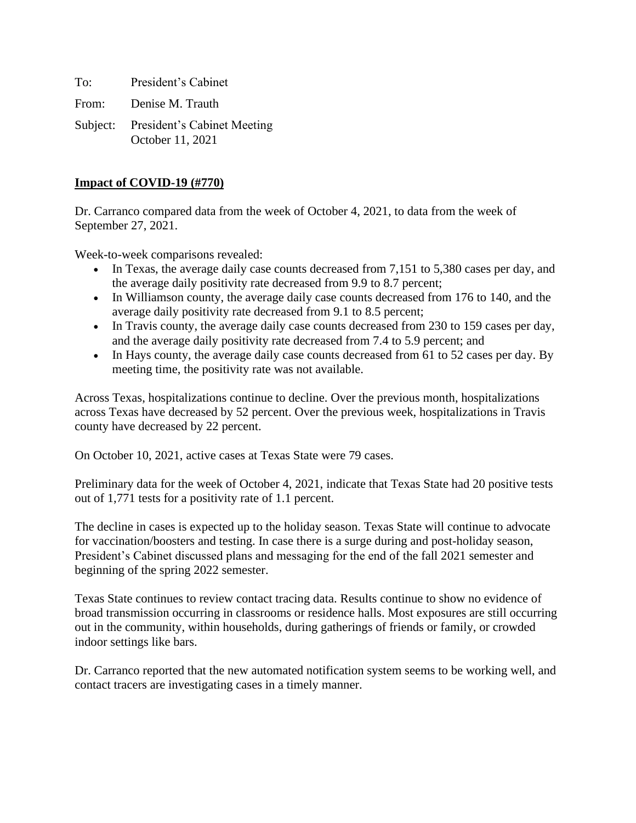To: President's Cabinet From: Denise M. Trauth

Subject: President's Cabinet Meeting October 11, 2021

## **Impact of COVID-19 (#770)**

Dr. Carranco compared data from the week of October 4, 2021, to data from the week of September 27, 2021.

Week-to-week comparisons revealed:

- In Texas, the average daily case counts decreased from 7,151 to 5,380 cases per day, and the average daily positivity rate decreased from 9.9 to 8.7 percent;
- In Williamson county, the average daily case counts decreased from 176 to 140, and the average daily positivity rate decreased from 9.1 to 8.5 percent;
- In Travis county, the average daily case counts decreased from 230 to 159 cases per day, and the average daily positivity rate decreased from 7.4 to 5.9 percent; and
- In Hays county, the average daily case counts decreased from 61 to 52 cases per day. By meeting time, the positivity rate was not available.

Across Texas, hospitalizations continue to decline. Over the previous month, hospitalizations across Texas have decreased by 52 percent. Over the previous week, hospitalizations in Travis county have decreased by 22 percent.

On October 10, 2021, active cases at Texas State were 79 cases.

Preliminary data for the week of October 4, 2021, indicate that Texas State had 20 positive tests out of 1,771 tests for a positivity rate of 1.1 percent.

The decline in cases is expected up to the holiday season. Texas State will continue to advocate for vaccination/boosters and testing. In case there is a surge during and post-holiday season, President's Cabinet discussed plans and messaging for the end of the fall 2021 semester and beginning of the spring 2022 semester.

Texas State continues to review contact tracing data. Results continue to show no evidence of broad transmission occurring in classrooms or residence halls. Most exposures are still occurring out in the community, within households, during gatherings of friends or family, or crowded indoor settings like bars.

Dr. Carranco reported that the new automated notification system seems to be working well, and contact tracers are investigating cases in a timely manner.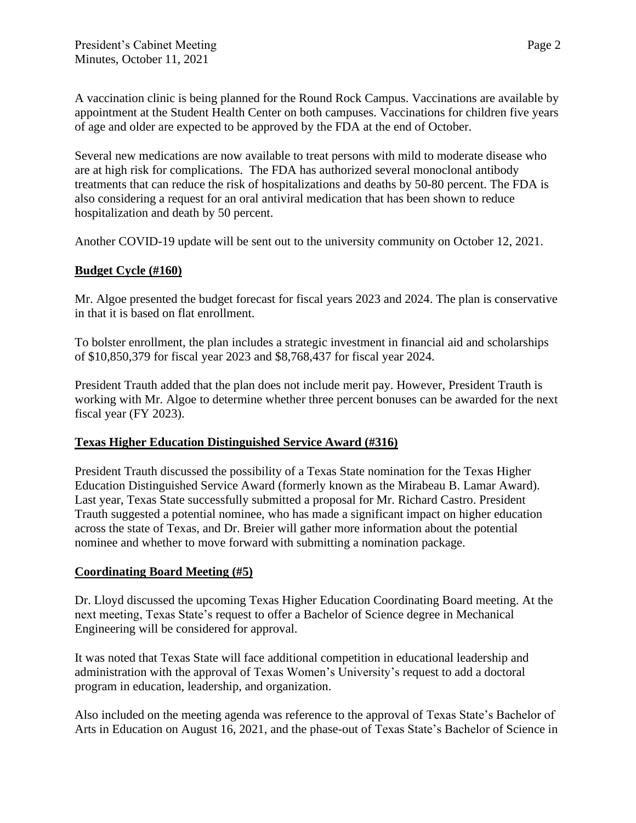A vaccination clinic is being planned for the Round Rock Campus. [Vaccinations](https://www.healthcenter.txstate.edu/covid-19/vaccination.html) are available by appointment at the Student Health Center on both campuses. Vaccinations for children five years of age and older are expected to be approved by the FDA at the end of October.

Several new medications are now available to treat persons with mild to moderate disease who are at high risk for complications. The FDA has authorized several monoclonal antibody treatments that can reduce the risk of hospitalizations and deaths by 50-80 percent. The FDA is also considering a request for an oral antiviral medication that has been shown to reduce hospitalization and death by 50 percent.

Another COVID-19 update will be sent out to the university community on October 12, 2021.

## **Budget Cycle (#160)**

Mr. Algoe presented the budget forecast for fiscal years 2023 and 2024. The plan is conservative in that it is based on flat enrollment.

To bolster enrollment, the plan includes a strategic investment in financial aid and scholarships of \$10,850,379 for fiscal year 2023 and \$8,768,437 for fiscal year 2024.

President Trauth added that the plan does not include merit pay. However, President Trauth is working with Mr. Algoe to determine whether three percent bonuses can be awarded for the next fiscal year (FY 2023).

## **Texas Higher Education Distinguished Service Award (#316)**

President Trauth discussed the possibility of a Texas State nomination for the Texas Higher Education Distinguished Service Award (formerly known as the Mirabeau B. Lamar Award). Last year, Texas State successfully submitted a proposal for Mr. Richard Castro. President Trauth suggested a potential nominee, who has made a significant impact on higher education across the state of Texas, and Dr. Breier will gather more information about the potential nominee and whether to move forward with submitting a nomination package.

## **Coordinating Board Meeting (#5)**

Dr. Lloyd discussed the upcoming Texas Higher Education Coordinating Board meeting. At the next meeting, Texas State's request to offer a Bachelor of Science degree in Mechanical Engineering will be considered for approval.

It was noted that Texas State will face additional competition in educational leadership and administration with the approval of Texas Women's University's request to add a doctoral program in education, leadership, and organization.

Also included on the meeting agenda was reference to the approval of Texas State's Bachelor of Arts in Education on August 16, 2021, and the phase-out of Texas State's Bachelor of Science in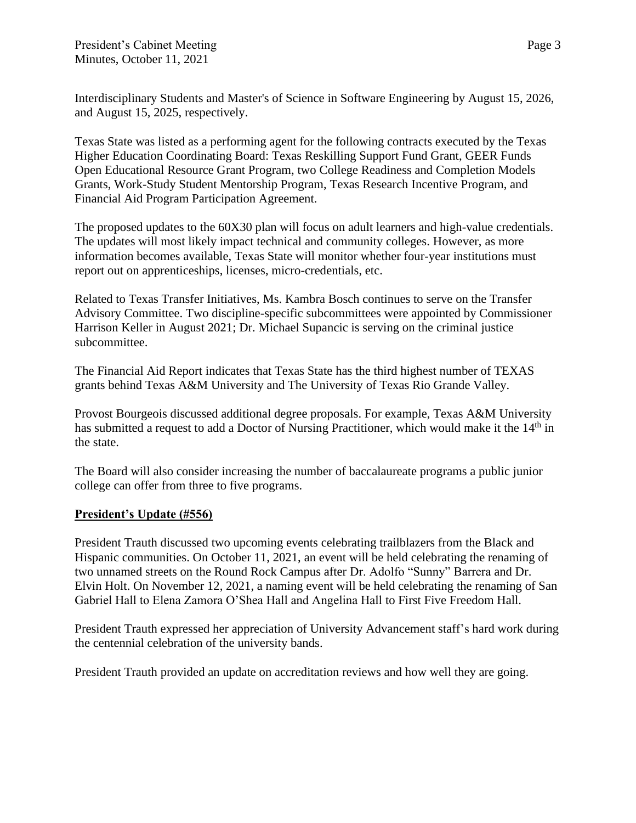Interdisciplinary Students and Master's of Science in Software Engineering by August 15, 2026, and August 15, 2025, respectively.

Texas State was listed as a performing agent for the following contracts executed by the Texas Higher Education Coordinating Board: Texas Reskilling Support Fund Grant, GEER Funds Open Educational Resource Grant Program, two College Readiness and Completion Models Grants, Work-Study Student Mentorship Program, Texas Research Incentive Program, and Financial Aid Program Participation Agreement.

The proposed updates to the 60X30 plan will focus on adult learners and high-value credentials. The updates will most likely impact technical and community colleges. However, as more information becomes available, Texas State will monitor whether four-year institutions must report out on apprenticeships, licenses, micro-credentials, etc.

Related to Texas Transfer Initiatives, Ms. Kambra Bosch continues to serve on the Transfer Advisory Committee. Two discipline-specific subcommittees were appointed by Commissioner Harrison Keller in August 2021; Dr. Michael Supancic is serving on the criminal justice subcommittee.

The Financial Aid Report indicates that Texas State has the third highest number of TEXAS grants behind Texas A&M University and The University of Texas Rio Grande Valley.

Provost Bourgeois discussed additional degree proposals. For example, Texas A&M University has submitted a request to add a Doctor of Nursing Practitioner, which would make it the 14<sup>th</sup> in the state.

The Board will also consider increasing the number of baccalaureate programs a public junior college can offer from three to five programs.

# **President's Update (#556)**

President Trauth discussed two upcoming events celebrating trailblazers from the Black and Hispanic communities. On October 11, 2021, an event will be held celebrating the renaming of two unnamed streets on the Round Rock Campus after Dr. Adolfo "Sunny" Barrera and Dr. Elvin Holt. On November 12, 2021, a naming event will be held celebrating the renaming of San Gabriel Hall to Elena Zamora O'Shea Hall and Angelina Hall to First Five Freedom Hall.

President Trauth expressed her appreciation of University Advancement staff's hard work during the centennial celebration of the university bands.

President Trauth provided an update on accreditation reviews and how well they are going.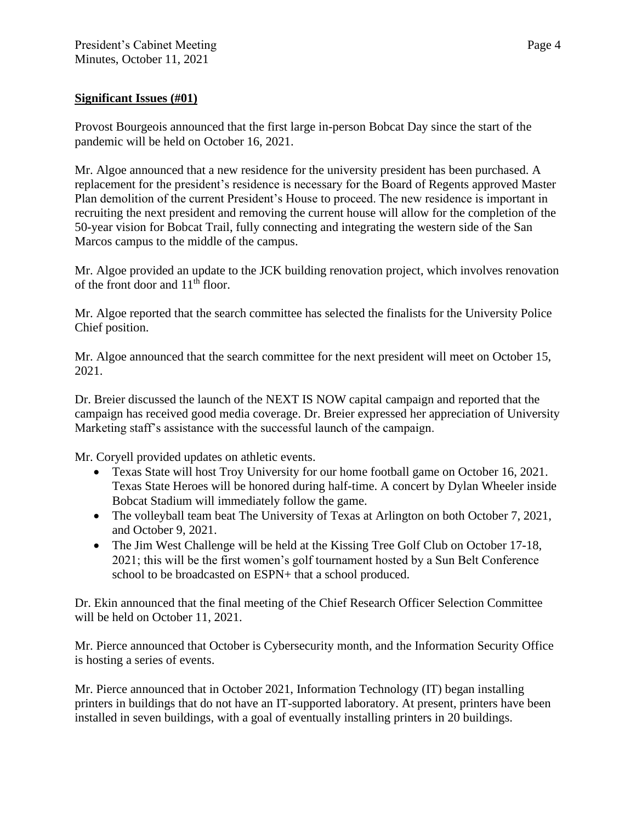### **Significant Issues (#01)**

Provost Bourgeois announced that the first large in-person Bobcat Day since the start of the pandemic will be held on October 16, 2021.

Mr. Algoe announced that a new residence for the university president has been purchased. A replacement for the president's residence is necessary for the Board of Regents approved Master Plan demolition of the current President's House to proceed. The new residence is important in recruiting the next president and removing the current house will allow for the completion of the 50-year vision for Bobcat Trail, fully connecting and integrating the western side of the San Marcos campus to the middle of the campus.

Mr. Algoe provided an update to the JCK building renovation project, which involves renovation of the front door and  $11<sup>th</sup>$  floor.

Mr. Algoe reported that the search committee has selected the finalists for the University Police Chief position.

Mr. Algoe announced that the search committee for the next president will meet on October 15, 2021.

Dr. Breier discussed the launch of the NEXT IS NOW capital campaign and reported that the campaign has received good media coverage. Dr. Breier expressed her appreciation of University Marketing staff's assistance with the successful launch of the campaign.

Mr. Coryell provided updates on athletic events.

- Texas State will host Troy University for our home football game on October 16, 2021. Texas State Heroes will be honored during half-time. A concert by Dylan Wheeler inside Bobcat Stadium will immediately follow the game.
- The volleyball team beat The University of Texas at Arlington on both October 7, 2021, and October 9, 2021.
- The Jim West Challenge will be held at the Kissing Tree Golf Club on October 17-18, 2021; this will be the first women's golf tournament hosted by a Sun Belt Conference school to be broadcasted on ESPN+ that a school produced.

Dr. Ekin announced that the final meeting of the Chief Research Officer Selection Committee will be held on October 11, 2021.

Mr. Pierce announced that October is Cybersecurity month, and the Information Security Office is hosting a series of events.

Mr. Pierce announced that in October 2021, Information Technology (IT) began installing printers in buildings that do not have an IT-supported laboratory. At present, printers have been installed in seven buildings, with a goal of eventually installing printers in 20 buildings.